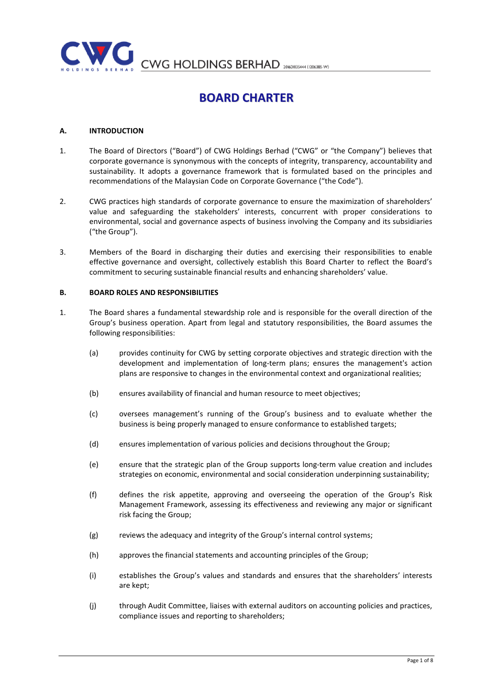

CWG HOLDINGS BERHAD 2060103444 (1206385-W)

# BOARD CHARTER

## A. INTRODUCTION

- 1. The Board of Directors ("Board") of CWG Holdings Berhad ("CWG" or "the Company") believes that corporate governance is synonymous with the concepts of integrity, transparency, accountability and sustainability. It adopts a governance framework that is formulated based on the principles and recommendations of the Malaysian Code on Corporate Governance ("the Code").
- 2. CWG practices high standards of corporate governance to ensure the maximization of shareholders' value and safeguarding the stakeholders' interests, concurrent with proper considerations to environmental, social and governance aspects of business involving the Company and its subsidiaries ("the Group").
- 3. Members of the Board in discharging their duties and exercising their responsibilities to enable effective governance and oversight, collectively establish this Board Charter to reflect the Board's commitment to securing sustainable financial results and enhancing shareholders' value.

#### B. BOARD ROLES AND RESPONSIBILITIES

- 1. The Board shares a fundamental stewardship role and is responsible for the overall direction of the Group's business operation. Apart from legal and statutory responsibilities, the Board assumes the following responsibilities:
	- (a) provides continuity for CWG by setting corporate objectives and strategic direction with the development and implementation of long-term plans; ensures the management's action plans are responsive to changes in the environmental context and organizational realities;
	- (b) ensures availability of financial and human resource to meet objectives;
	- (c) oversees management's running of the Group's business and to evaluate whether the business is being properly managed to ensure conformance to established targets;
	- (d) ensures implementation of various policies and decisions throughout the Group;
	- (e) ensure that the strategic plan of the Group supports long-term value creation and includes strategies on economic, environmental and social consideration underpinning sustainability;
	- (f) defines the risk appetite, approving and overseeing the operation of the Group's Risk Management Framework, assessing its effectiveness and reviewing any major or significant risk facing the Group;
	- (g) reviews the adequacy and integrity of the Group's internal control systems;
	- (h) approves the financial statements and accounting principles of the Group;
	- (i) establishes the Group's values and standards and ensures that the shareholders' interests are kept;
	- (j) through Audit Committee, liaises with external auditors on accounting policies and practices, compliance issues and reporting to shareholders;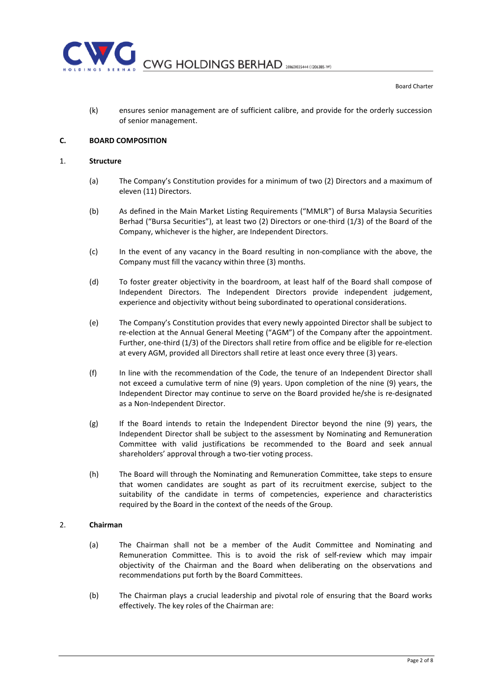

(k) ensures senior management are of sufficient calibre, and provide for the orderly succession of senior management.

# C. BOARD COMPOSITION

#### 1. Structure

- (a) The Company's Constitution provides for a minimum of two (2) Directors and a maximum of eleven (11) Directors.
- (b) As defined in the Main Market Listing Requirements ("MMLR") of Bursa Malaysia Securities Berhad ("Bursa Securities"), at least two (2) Directors or one-third (1/3) of the Board of the Company, whichever is the higher, are Independent Directors.
- (c) In the event of any vacancy in the Board resulting in non-compliance with the above, the Company must fill the vacancy within three (3) months.
- (d) To foster greater objectivity in the boardroom, at least half of the Board shall compose of Independent Directors. The Independent Directors provide independent judgement, experience and objectivity without being subordinated to operational considerations.
- (e) The Company's Constitution provides that every newly appointed Director shall be subject to re-election at the Annual General Meeting ("AGM") of the Company after the appointment. Further, one-third (1/3) of the Directors shall retire from office and be eligible for re-election at every AGM, provided all Directors shall retire at least once every three (3) years.
- (f) In line with the recommendation of the Code, the tenure of an Independent Director shall not exceed a cumulative term of nine (9) years. Upon completion of the nine (9) years, the Independent Director may continue to serve on the Board provided he/she is re-designated as a Non-Independent Director.
- (g) If the Board intends to retain the Independent Director beyond the nine (9) years, the Independent Director shall be subject to the assessment by Nominating and Remuneration Committee with valid justifications be recommended to the Board and seek annual shareholders' approval through a two-tier voting process.
- (h) The Board will through the Nominating and Remuneration Committee, take steps to ensure that women candidates are sought as part of its recruitment exercise, subject to the suitability of the candidate in terms of competencies, experience and characteristics required by the Board in the context of the needs of the Group.

## 2. Chairman

- (a) The Chairman shall not be a member of the Audit Committee and Nominating and Remuneration Committee. This is to avoid the risk of self-review which may impair objectivity of the Chairman and the Board when deliberating on the observations and recommendations put forth by the Board Committees.
- (b) The Chairman plays a crucial leadership and pivotal role of ensuring that the Board works effectively. The key roles of the Chairman are: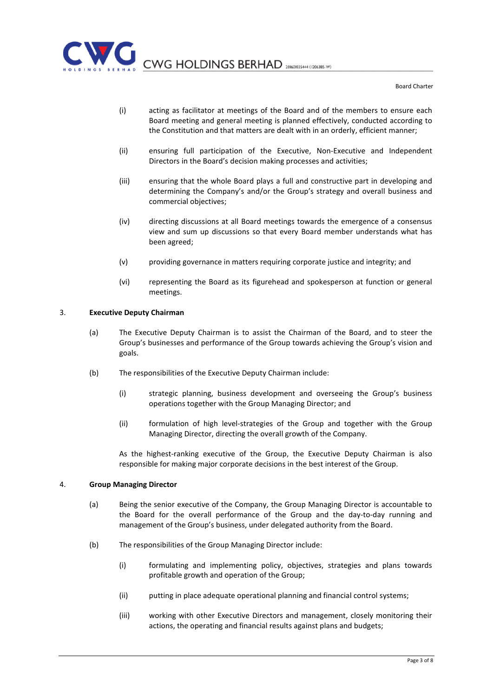

- (i) acting as facilitator at meetings of the Board and of the members to ensure each Board meeting and general meeting is planned effectively, conducted according to the Constitution and that matters are dealt with in an orderly, efficient manner;
- (ii) ensuring full participation of the Executive, Non-Executive and Independent Directors in the Board's decision making processes and activities;
- (iii) ensuring that the whole Board plays a full and constructive part in developing and determining the Company's and/or the Group's strategy and overall business and commercial objectives;
- (iv) directing discussions at all Board meetings towards the emergence of a consensus view and sum up discussions so that every Board member understands what has been agreed;
- (v) providing governance in matters requiring corporate justice and integrity; and
- (vi) representing the Board as its figurehead and spokesperson at function or general meetings.

#### 3. Executive Deputy Chairman

- (a) The Executive Deputy Chairman is to assist the Chairman of the Board, and to steer the Group's businesses and performance of the Group towards achieving the Group's vision and goals.
- (b) The responsibilities of the Executive Deputy Chairman include:
	- (i) strategic planning, business development and overseeing the Group's business operations together with the Group Managing Director; and
	- (ii) formulation of high level-strategies of the Group and together with the Group Managing Director, directing the overall growth of the Company.

As the highest-ranking executive of the Group, the Executive Deputy Chairman is also responsible for making major corporate decisions in the best interest of the Group.

#### 4. Group Managing Director

- (a) Being the senior executive of the Company, the Group Managing Director is accountable to the Board for the overall performance of the Group and the day-to-day running and management of the Group's business, under delegated authority from the Board.
- (b) The responsibilities of the Group Managing Director include:
	- (i) formulating and implementing policy, objectives, strategies and plans towards profitable growth and operation of the Group;
	- (ii) putting in place adequate operational planning and financial control systems;
	- (iii) working with other Executive Directors and management, closely monitoring their actions, the operating and financial results against plans and budgets;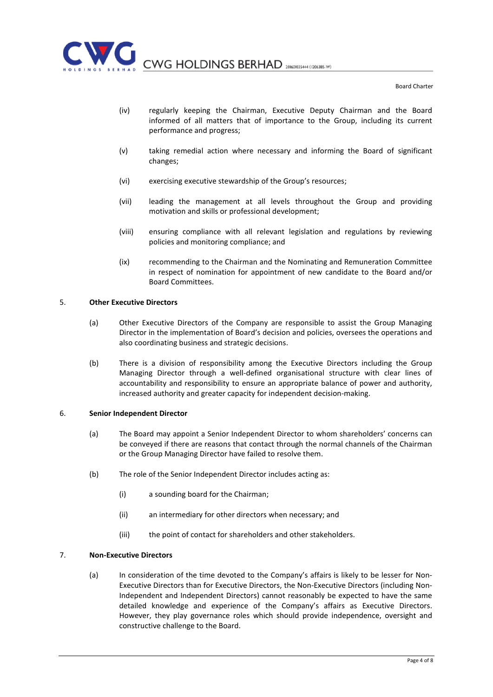

- (iv) regularly keeping the Chairman, Executive Deputy Chairman and the Board informed of all matters that of importance to the Group, including its current performance and progress;
- (v) taking remedial action where necessary and informing the Board of significant changes;
- (vi) exercising executive stewardship of the Group's resources;
- (vii) leading the management at all levels throughout the Group and providing motivation and skills or professional development;
- (viii) ensuring compliance with all relevant legislation and regulations by reviewing policies and monitoring compliance; and
- (ix) recommending to the Chairman and the Nominating and Remuneration Committee in respect of nomination for appointment of new candidate to the Board and/or Board Committees.

#### 5. Other Executive Directors

- (a) Other Executive Directors of the Company are responsible to assist the Group Managing Director in the implementation of Board's decision and policies, oversees the operations and also coordinating business and strategic decisions.
- (b) There is a division of responsibility among the Executive Directors including the Group Managing Director through a well-defined organisational structure with clear lines of accountability and responsibility to ensure an appropriate balance of power and authority, increased authority and greater capacity for independent decision-making.

#### 6. Senior Independent Director

- (a) The Board may appoint a Senior Independent Director to whom shareholders' concerns can be conveyed if there are reasons that contact through the normal channels of the Chairman or the Group Managing Director have failed to resolve them.
- (b) The role of the Senior Independent Director includes acting as:
	- (i) a sounding board for the Chairman;
	- (ii) an intermediary for other directors when necessary; and
	- (iii) the point of contact for shareholders and other stakeholders.

## 7. Non-Executive Directors

(a) In consideration of the time devoted to the Company's affairs is likely to be lesser for Non-Executive Directors than for Executive Directors, the Non-Executive Directors (including Non-Independent and Independent Directors) cannot reasonably be expected to have the same detailed knowledge and experience of the Company's affairs as Executive Directors. However, they play governance roles which should provide independence, oversight and constructive challenge to the Board.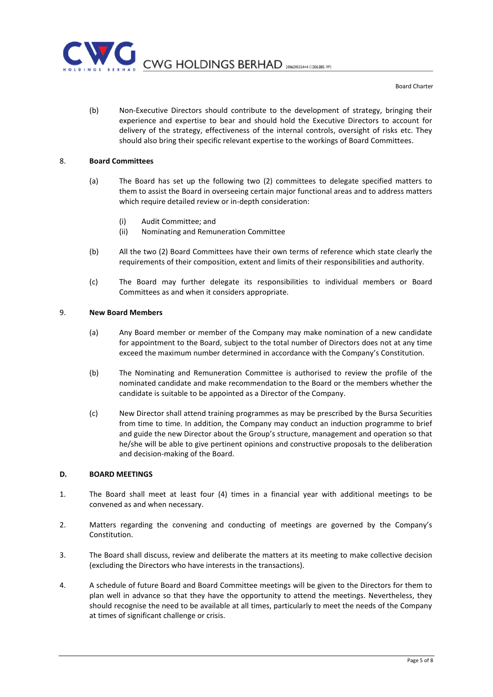

(b) Non-Executive Directors should contribute to the development of strategy, bringing their experience and expertise to bear and should hold the Executive Directors to account for delivery of the strategy, effectiveness of the internal controls, oversight of risks etc. They should also bring their specific relevant expertise to the workings of Board Committees.

## 8. Board Committees

- (a) The Board has set up the following two (2) committees to delegate specified matters to them to assist the Board in overseeing certain major functional areas and to address matters which require detailed review or in-depth consideration:
	- (i) Audit Committee; and
	- (ii) Nominating and Remuneration Committee
- (b) All the two (2) Board Committees have their own terms of reference which state clearly the requirements of their composition, extent and limits of their responsibilities and authority.
- (c) The Board may further delegate its responsibilities to individual members or Board Committees as and when it considers appropriate.

## 9. New Board Members

- (a) Any Board member or member of the Company may make nomination of a new candidate for appointment to the Board, subject to the total number of Directors does not at any time exceed the maximum number determined in accordance with the Company's Constitution.
- (b) The Nominating and Remuneration Committee is authorised to review the profile of the nominated candidate and make recommendation to the Board or the members whether the candidate is suitable to be appointed as a Director of the Company.
- (c) New Director shall attend training programmes as may be prescribed by the Bursa Securities from time to time. In addition, the Company may conduct an induction programme to brief and guide the new Director about the Group's structure, management and operation so that he/she will be able to give pertinent opinions and constructive proposals to the deliberation and decision-making of the Board.

#### D. BOARD MEETINGS

- 1. The Board shall meet at least four (4) times in a financial year with additional meetings to be convened as and when necessary.
- 2. Matters regarding the convening and conducting of meetings are governed by the Company's Constitution.
- 3. The Board shall discuss, review and deliberate the matters at its meeting to make collective decision (excluding the Directors who have interests in the transactions).
- 4. A schedule of future Board and Board Committee meetings will be given to the Directors for them to plan well in advance so that they have the opportunity to attend the meetings. Nevertheless, they should recognise the need to be available at all times, particularly to meet the needs of the Company at times of significant challenge or crisis.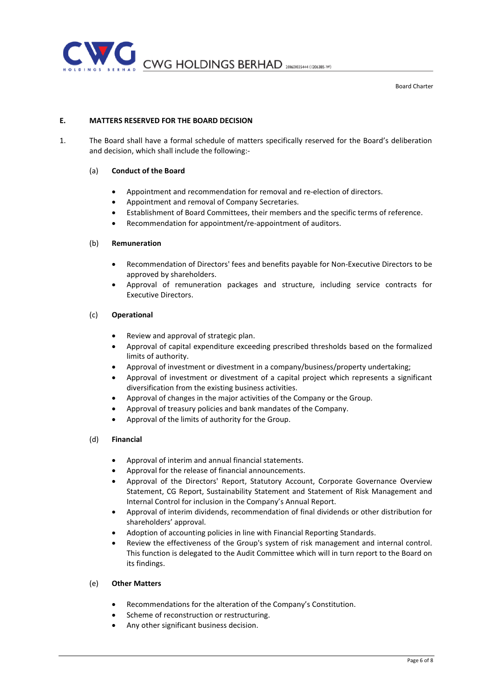

# E. MATTERS RESERVED FOR THE BOARD DECISION

1. The Board shall have a formal schedule of matters specifically reserved for the Board's deliberation and decision, which shall include the following:-

## (a) Conduct of the Board

- Appointment and recommendation for removal and re-election of directors.
- Appointment and removal of Company Secretaries.
- Establishment of Board Committees, their members and the specific terms of reference.
- Recommendation for appointment/re-appointment of auditors.

## (b) Remuneration

- Recommendation of Directors' fees and benefits payable for Non-Executive Directors to be approved by shareholders.
- Approval of remuneration packages and structure, including service contracts for Executive Directors.

## (c) Operational

- Review and approval of strategic plan.
- Approval of capital expenditure exceeding prescribed thresholds based on the formalized limits of authority.
- Approval of investment or divestment in a company/business/property undertaking;
- Approval of investment or divestment of a capital project which represents a significant diversification from the existing business activities.
- Approval of changes in the major activities of the Company or the Group.
- Approval of treasury policies and bank mandates of the Company.
- Approval of the limits of authority for the Group.

## (d) Financial

- Approval of interim and annual financial statements.
- Approval for the release of financial announcements.
- Approval of the Directors' Report, Statutory Account, Corporate Governance Overview Statement, CG Report, Sustainability Statement and Statement of Risk Management and Internal Control for inclusion in the Company's Annual Report.
- Approval of interim dividends, recommendation of final dividends or other distribution for shareholders' approval.
- Adoption of accounting policies in line with Financial Reporting Standards.
- Review the effectiveness of the Group's system of risk management and internal control. This function is delegated to the Audit Committee which will in turn report to the Board on its findings.

# (e) Other Matters

- Recommendations for the alteration of the Company's Constitution.
- Scheme of reconstruction or restructuring.
- Any other significant business decision.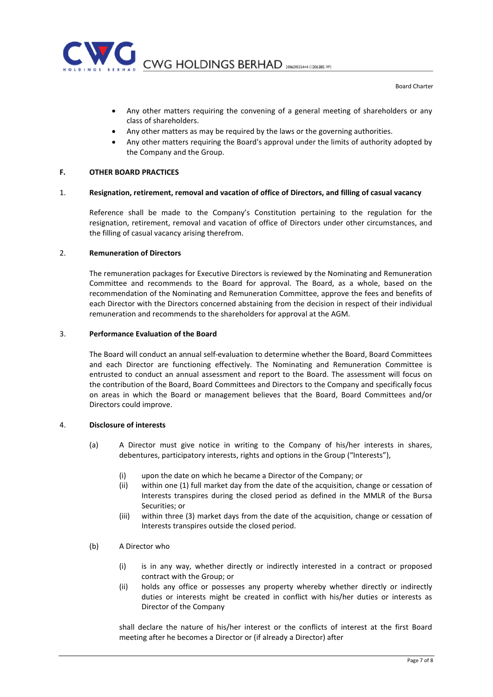

- Any other matters requiring the convening of a general meeting of shareholders or any class of shareholders.
- Any other matters as may be required by the laws or the governing authorities.
- Any other matters requiring the Board's approval under the limits of authority adopted by the Company and the Group.

# F. OTHER BOARD PRACTICES

#### 1. Resignation, retirement, removal and vacation of office of Directors, and filling of casual vacancy

Reference shall be made to the Company's Constitution pertaining to the regulation for the resignation, retirement, removal and vacation of office of Directors under other circumstances, and the filling of casual vacancy arising therefrom.

#### 2. Remuneration of Directors

The remuneration packages for Executive Directors is reviewed by the Nominating and Remuneration Committee and recommends to the Board for approval. The Board, as a whole, based on the recommendation of the Nominating and Remuneration Committee, approve the fees and benefits of each Director with the Directors concerned abstaining from the decision in respect of their individual remuneration and recommends to the shareholders for approval at the AGM.

#### 3. Performance Evaluation of the Board

The Board will conduct an annual self-evaluation to determine whether the Board, Board Committees and each Director are functioning effectively. The Nominating and Remuneration Committee is entrusted to conduct an annual assessment and report to the Board. The assessment will focus on the contribution of the Board, Board Committees and Directors to the Company and specifically focus on areas in which the Board or management believes that the Board, Board Committees and/or Directors could improve.

#### 4. Disclosure of interests

- (a) A Director must give notice in writing to the Company of his/her interests in shares, debentures, participatory interests, rights and options in the Group ("Interests"),
	- (i) upon the date on which he became a Director of the Company; or
	- (ii) within one (1) full market day from the date of the acquisition, change or cessation of Interests transpires during the closed period as defined in the MMLR of the Bursa Securities; or
	- (iii) within three (3) market days from the date of the acquisition, change or cessation of Interests transpires outside the closed period.
- (b) A Director who
	- (i) is in any way, whether directly or indirectly interested in a contract or proposed contract with the Group; or
	- (ii) holds any office or possesses any property whereby whether directly or indirectly duties or interests might be created in conflict with his/her duties or interests as Director of the Company

shall declare the nature of his/her interest or the conflicts of interest at the first Board meeting after he becomes a Director or (if already a Director) after